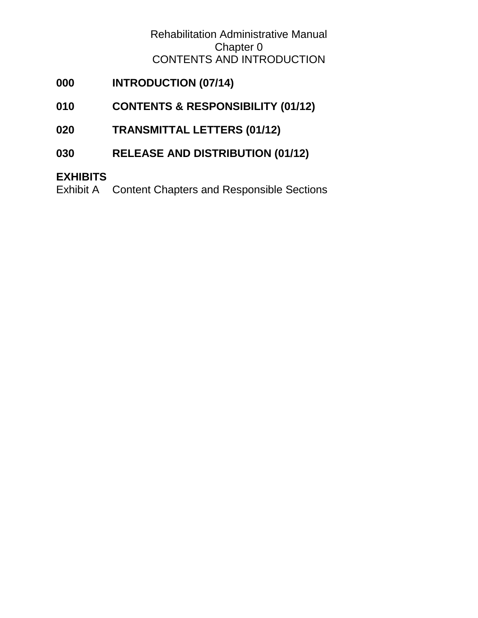Rehabilitation Administrative Manual Chapter 0 CONTENTS AND INTRODUCTION

# **000 [INTRODUCTION \(07/14\)](#page-1-0)**

- **010 [CONTENTS & RESPONSIBILITY \(01/12\)](#page-1-1)**
- **020 [TRANSMITTAL LETTERS \(01/12\)](#page-2-0)**
- **030 [RELEASE AND DISTRIBUTION \(01/12\)](#page-2-1)**

## **[EXHIBITS](#page-2-2)**

Exhibit A [Content Chapters and Responsible Sections](#page-2-3)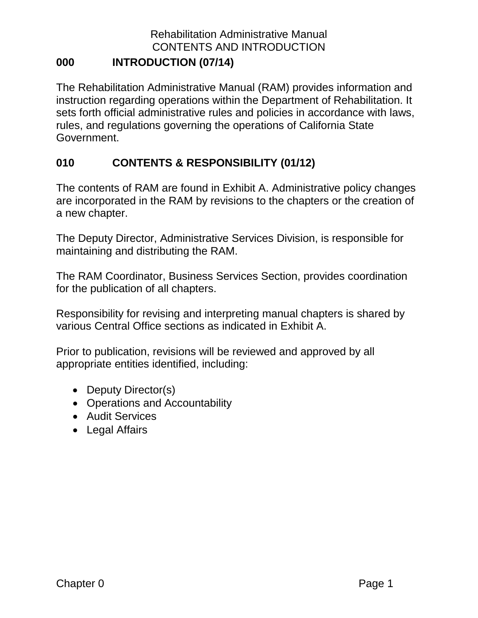## Rehabilitation Administrative Manual CONTENTS AND INTRODUCTION

#### <span id="page-1-0"></span>**000 INTRODUCTION (07/14)**

The Rehabilitation Administrative Manual (RAM) provides information and instruction regarding operations within the Department of Rehabilitation. It sets forth official administrative rules and policies in accordance with laws, rules, and regulations governing the operations of California State Government.

#### <span id="page-1-1"></span>**010 CONTENTS & RESPONSIBILITY (01/12)**

The contents of RAM are found in Exhibit A. Administrative policy changes are incorporated in the RAM by revisions to the chapters or the creation of a new chapter.

The Deputy Director, Administrative Services Division, is responsible for maintaining and distributing the RAM.

The RAM Coordinator, Business Services Section, provides coordination for the publication of all chapters.

Responsibility for revising and interpreting manual chapters is shared by various Central Office sections as indicated in Exhibit A.

Prior to publication, revisions will be reviewed and approved by all appropriate entities identified, including:

- Deputy Director(s)
- Operations and Accountability
- Audit Services
- Legal Affairs